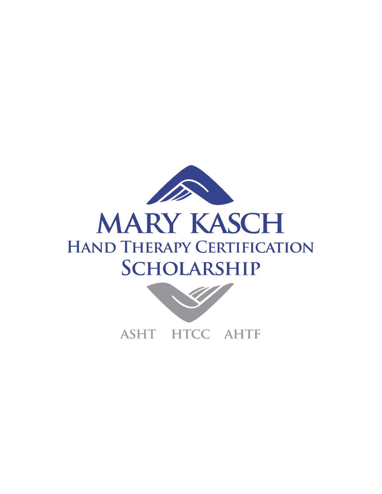

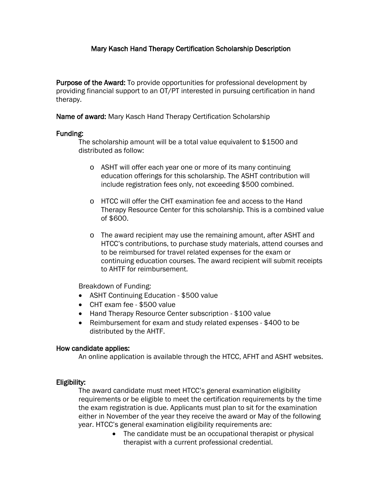# Mary Kasch Hand Therapy Certification Scholarship Description

Purpose of the Award: To provide opportunities for professional development by providing financial support to an OT/PT interested in pursuing certification in hand therapy.

Name of award: Mary Kasch Hand Therapy Certification Scholarship

## Funding:

The scholarship amount will be a total value equivalent to \$1500 and distributed as follow:

- o ASHT will offer each year one or more of its many continuing education offerings for this scholarship. The ASHT contribution will include registration fees only, not exceeding \$500 combined.
- o HTCC will offer the CHT examination fee and access to the Hand Therapy Resource Center for this scholarship. This is a combined value of \$600.
- o The award recipient may use the remaining amount, after ASHT and HTCC's contributions, to purchase study materials, attend courses and to be reimbursed for travel related expenses for the exam or continuing education courses. The award recipient will submit receipts to AHTF for reimbursement.

Breakdown of Funding:

- ASHT Continuing Education \$500 value
- CHT exam fee \$500 value
- Hand Therapy Resource Center subscription \$100 value
- Reimbursement for exam and study related expenses \$400 to be distributed by the AHTF.

### How candidate applies:

An online application is available through the HTCC, AFHT and ASHT websites.

## Eligibility:

The award candidate must meet HTCC's general examination eligibility requirements or be eligible to meet the certification requirements by the time the exam registration is due. Applicants must plan to sit for the examination either in November of the year they receive the award or May of the following year. HTCC's general examination eligibility requirements are:

> • The candidate must be an occupational therapist or physical therapist with a current professional credential.